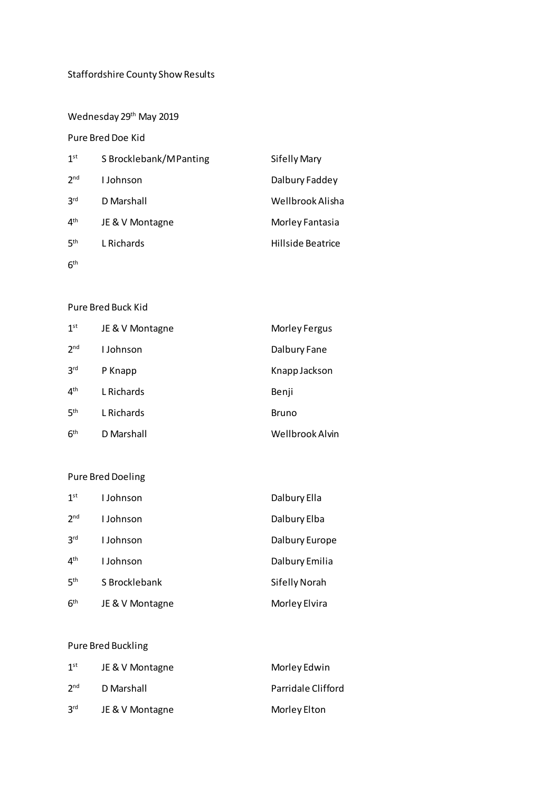# Staffordshire County Show Results

Wednesday 29<sup>th</sup> May 2019

# Pure Bred Doe Kid

| 1 <sup>st</sup> | S Brocklebank/M Panting | <b>Sifelly Mary</b> |
|-----------------|-------------------------|---------------------|
| 2 <sub>nd</sub> | I Johnson               | Dalbury Faddey      |
| 3 <sup>rd</sup> | D Marshall              | Wellbrook Alisha    |
| 4 <sup>th</sup> | JE & V Montagne         | Morley Fantasia     |
| <b>5th</b>      | L Richards              | Hillside Beatrice   |
| 6 <sup>th</sup> |                         |                     |

## Pure Bred Buck Kid

| 1 <sup>st</sup> | JE & V Montagne | Morley Fergus   |
|-----------------|-----------------|-----------------|
| 2 <sub>nd</sub> | I Johnson       | Dalbury Fane    |
| 3 <sup>rd</sup> | P Knapp         | Knapp Jackson   |
| 4 <sup>th</sup> | L Richards      | Benji           |
| 5 <sup>th</sup> | L Richards      | <b>Bruno</b>    |
| 6 <sup>th</sup> | D Marshall      | Wellbrook Alvin |

# Pure Bred Doeling

| 1 <sup>st</sup> | I Johnson       | Dalbury Ella   |
|-----------------|-----------------|----------------|
| 2 <sub>nd</sub> | I Johnson       | Dalbury Elba   |
| 3 <sup>rd</sup> | I Johnson       | Dalbury Europe |
| 4 <sup>th</sup> | I Johnson       | Dalbury Emilia |
| 5 <sup>th</sup> | S Brocklebank   | Sifelly Norah  |
| 6 <sup>th</sup> | JE & V Montagne | Morley Elvira  |

# Pure Bred Buckling

| 1 <sup>st</sup> | JE & V Montagne | Morley Edwin       |
|-----------------|-----------------|--------------------|
| 2 <sub>nd</sub> | D Marshall      | Parridale Clifford |
| <b>Pus</b>      | JE & V Montagne | Morley Elton       |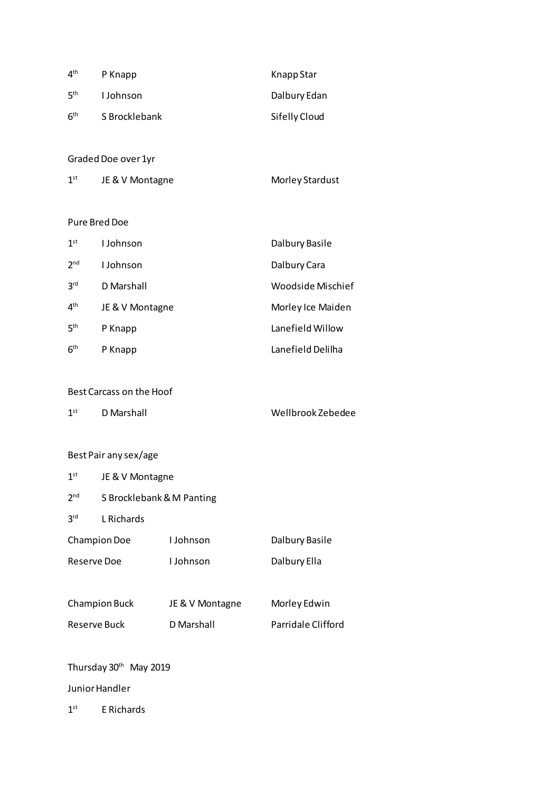| 4 <sup>th</sup> | P Knapp       | Knapp Star    |
|-----------------|---------------|---------------|
| 5 <sup>th</sup> | I Johnson     | Dalbury Edan  |
| 6 <sup>th</sup> | S Brocklebank | Sifelly Cloud |

Graded Doe over 1yr

| 1 <sup>st</sup> | JE & V Montagne | Morley Stardust |
|-----------------|-----------------|-----------------|
|-----------------|-----------------|-----------------|

## Pure Bred Doe

| 1 <sup>st</sup> | I Johnson       | Dalbury Basile    |
|-----------------|-----------------|-------------------|
| 2 <sub>nd</sub> | I Johnson       | Dalbury Cara      |
| 3 <sup>rd</sup> | D Marshall      | Woodside Mischief |
| 4 <sup>th</sup> | JE & V Montagne | Morley Ice Maiden |
| 5 <sup>th</sup> | P Knapp         | Lanefield Willow  |
| 6 <sup>th</sup> | P Knapp         | Lanefield Delilha |

## Best Carcass on the Hoof

| 1st<br>D Marshall | Wellbrook Zebedee |
|-------------------|-------------------|
|                   |                   |

# Best Pair any sex/age

| 1 <sup>st</sup>     | JE & V Montagne           |                  |                    |
|---------------------|---------------------------|------------------|--------------------|
| 2 <sub>nd</sub>     | S Brocklebank & M Panting |                  |                    |
| 3 <sup>rd</sup>     | L Richards                |                  |                    |
| <b>Champion Doe</b> |                           | <b>L</b> Johnson | Dalbury Basile     |
| Reserve Doe         |                           | <b>L</b> Johnson | Dalbury Ella       |
|                     |                           |                  |                    |
|                     | <b>Champion Buck</b>      | JE & V Montagne  | Morley Edwin       |
| Reserve Buck        |                           | D Marshall       | Parridale Clifford |
|                     |                           |                  |                    |

#### Thursday 30th May 2019

Junior Handler

1 st E Richards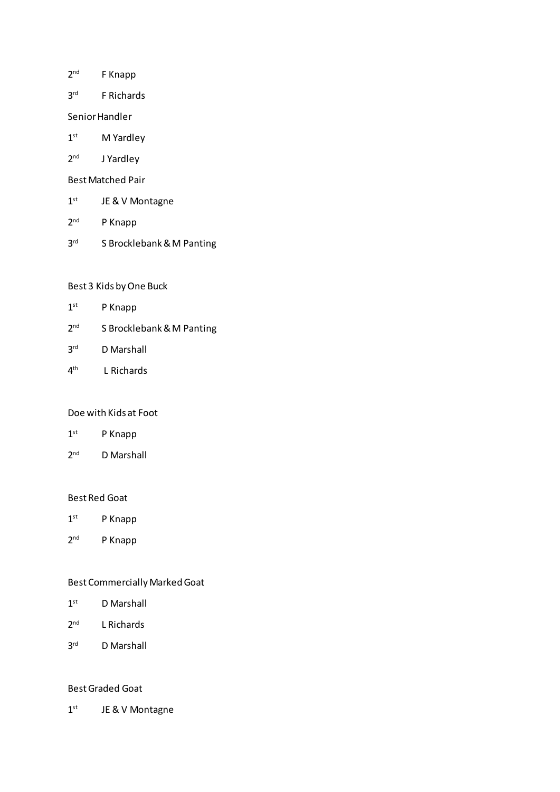- $2<sup>nd</sup>$ F Knapp
- $3<sup>rd</sup>$ F Richards
- Senior Handler
- $1<sup>st</sup>$ M Yardley
- $2<sup>nd</sup>$ J Yardley
- Best Matched Pair
- $1^\text{st}$ JE & V Montagne
- $2<sup>nd</sup>$ P Knapp
- 3<sup>rd</sup> S Brocklebank & M Panting

## Best 3 Kids by One Buck

- $1<sup>st</sup>$ P Knapp
- $2<sup>nd</sup>$ S Brocklebank & M Panting
- $3<sup>rd</sup>$ D Marshall
- $4<sup>th</sup>$ L Richards

#### Doe with Kids at Foot

- $1<sup>st</sup>$ P Knapp
- $2<sup>nd</sup>$ D Marshall

#### Best Red Goat

- $1^\text{st}$ P Knapp
- $2<sup>nd</sup>$ P Knapp

## Best Commercially Marked Goat

- $1<sup>st</sup>$ D Marshall
- $2<sup>nd</sup>$ L Richards
- $3<sup>rd</sup>$ D Marshall

#### Best Graded Goat

 $1<sup>st</sup>$ JE & V Montagne